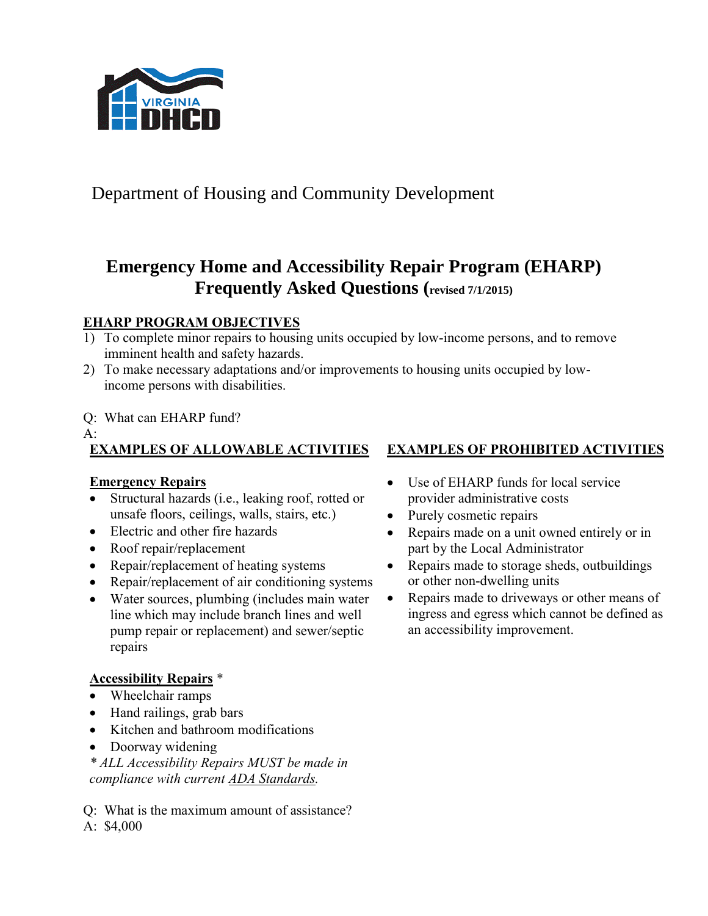

Department of Housing and Community Development

# **Emergency Home and Accessibility Repair Program (EHARP) Frequently Asked Questions (revised 7/1/2015)**

## **EHARP PROGRAM OBJECTIVES**

- 1) To complete minor repairs to housing units occupied by low-income persons, and to remove imminent health and safety hazards.
- 2) To make necessary adaptations and/or improvements to housing units occupied by lowincome persons with disabilities.

#### Q: What can EHARP fund?

A:

# **EXAMPLES OF ALLOWABLE ACTIVITIES EXAMPLES OF PROHIBITED ACTIVITIES**

### **Emergency Repairs**

- Structural hazards (i.e., leaking roof, rotted or unsafe floors, ceilings, walls, stairs, etc.)
- Electric and other fire hazards
- Roof repair/replacement
- Repair/replacement of heating systems
- Repair/replacement of air conditioning systems
- Water sources, plumbing (includes main water line which may include branch lines and well pump repair or replacement) and sewer/septic repairs

## **Accessibility Repairs** \*

- Wheelchair ramps
- Hand railings, grab bars
- Kitchen and bathroom modifications
- Doorway widening
- *\* ALL Accessibility Repairs MUST be made in compliance with current ADA [Standards.](http://www.ada.gov/)*

Q: What is the maximum amount of assistance? A: \$4,000

- Use of EHARP funds for local service provider administrative costs
- Purely cosmetic repairs
- Repairs made on a unit owned entirely or in part by the Local Administrator
- Repairs made to storage sheds, outbuildings or other non-dwelling units
- Repairs made to driveways or other means of ingress and egress which cannot be defined as an accessibility improvement.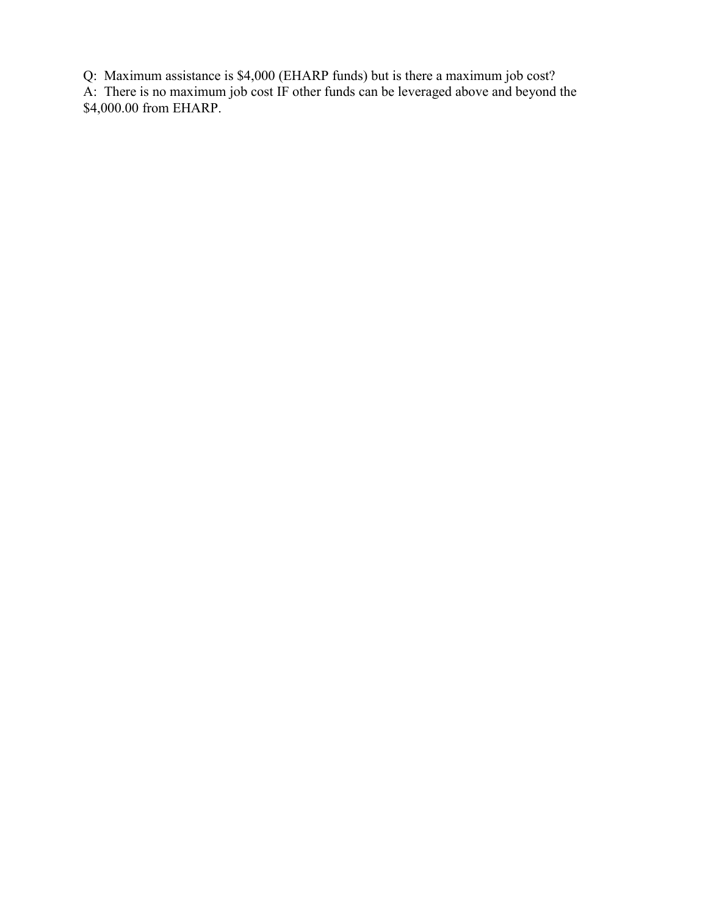Q: Maximum assistance is \$4,000 (EHARP funds) but is there a maximum job cost?

A: There is no maximum job cost IF other funds can be leveraged above and beyond the \$4,000.00 from EHARP.